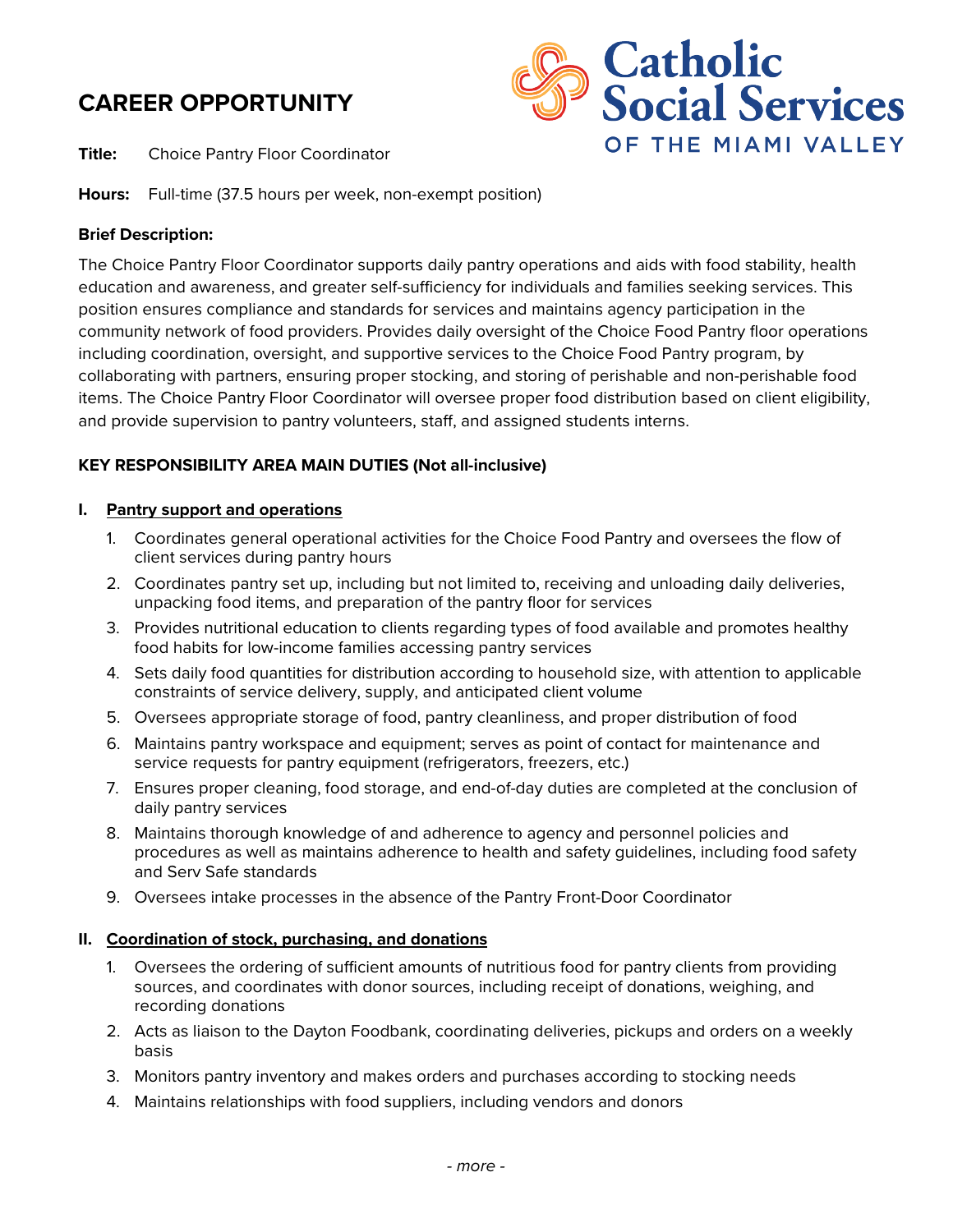# **CAREER OPPORTUNITY**

**Title:** Choice Pantry Floor Coordinator



**Hours:** Full-time (37.5 hours per week, non-exempt position)

# **Brief Description:**

The Choice Pantry Floor Coordinator supports daily pantry operations and aids with food stability, health education and awareness, and greater self-sufficiency for individuals and families seeking services. This position ensures compliance and standards for services and maintains agency participation in the community network of food providers. Provides daily oversight of the Choice Food Pantry floor operations including coordination, oversight, and supportive services to the Choice Food Pantry program, by collaborating with partners, ensuring proper stocking, and storing of perishable and non-perishable food items. The Choice Pantry Floor Coordinator will oversee proper food distribution based on client eligibility, and provide supervision to pantry volunteers, staff, and assigned students interns.

# **KEY RESPONSIBILITY AREA MAIN DUTIES (Not all-inclusive)**

## **I. Pantry support and operations**

- 1. Coordinates general operational activities for the Choice Food Pantry and oversees the flow of client services during pantry hours
- 2. Coordinates pantry set up, including but not limited to, receiving and unloading daily deliveries, unpacking food items, and preparation of the pantry floor for services
- 3. Provides nutritional education to clients regarding types of food available and promotes healthy food habits for low-income families accessing pantry services
- 4. Sets daily food quantities for distribution according to household size, with attention to applicable constraints of service delivery, supply, and anticipated client volume
- 5. Oversees appropriate storage of food, pantry cleanliness, and proper distribution of food
- 6. Maintains pantry workspace and equipment; serves as point of contact for maintenance and service requests for pantry equipment (refrigerators, freezers, etc.)
- 7. Ensures proper cleaning, food storage, and end-of-day duties are completed at the conclusion of daily pantry services
- 8. Maintains thorough knowledge of and adherence to agency and personnel policies and procedures as well as maintains adherence to health and safety guidelines, including food safety and Serv Safe standards
- 9. Oversees intake processes in the absence of the Pantry Front-Door Coordinator

## **II. Coordination of stock, purchasing, and donations**

- 1. Oversees the ordering of sufficient amounts of nutritious food for pantry clients from providing sources, and coordinates with donor sources, including receipt of donations, weighing, and recording donations
- 2. Acts as liaison to the Dayton Foodbank, coordinating deliveries, pickups and orders on a weekly basis
- 3. Monitors pantry inventory and makes orders and purchases according to stocking needs
- 4. Maintains relationships with food suppliers, including vendors and donors